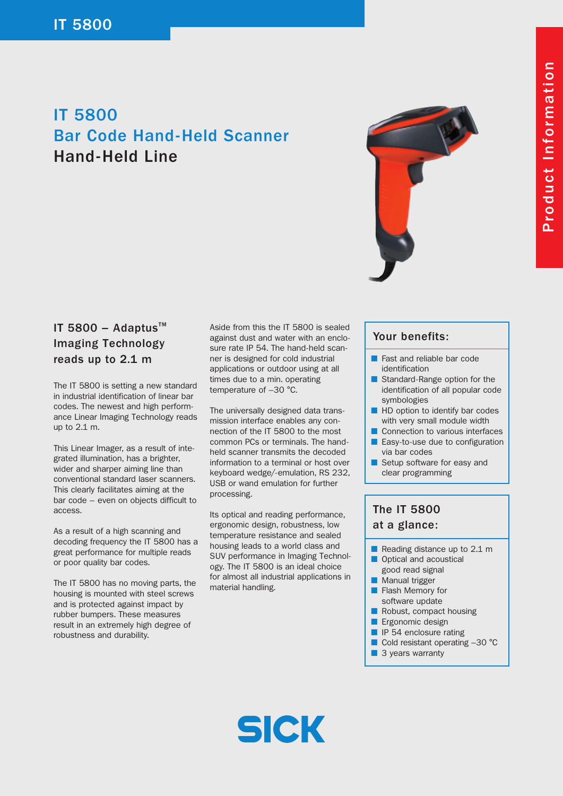# IT 5800 Bar Code Hand-Held Scanner Hand-Held Line



### IT 5800 - Adaptus $TM$ Imaging Technology reads up to 2.1 m

The IT 5800 is setting a new standard in industrial identification of linear bar codes. The newest and high performance Linear Imaging Technology reads up to 2.1 m.

This Linear Imager, as a result of integrated illumination, has a brighter, wider and sharper aiming line than conventional standard laser scanners. This clearly facilitates aiming at the bar code – even on objects difficult to access.

As a result of a high scanning and decoding frequency the IT 5800 has a great performance for multiple reads or poor quality bar codes.

The IT 5800 has no moving parts, the housing is mounted with steel screws and is protected against impact by rubber bumpers. These measures result in an extremely high degree of robustness and durability.

Aside from this the IT 5800 is sealed against dust and water with an enclosure rate IP 54. The hand-held scanner is designed for cold industrial applications or outdoor using at all times due to a min. operating temperature of –30 °C.

The universally designed data transmission interface enables any connection of the IT 5800 to the most common PCs or terminals. The handheld scanner transmits the decoded information to a terminal or host over keyboard wedge/-emulation, RS 232, USB or wand emulation for further processing.

Its optical and reading performance, ergonomic design, robustness, low temperature resistance and sealed housing leads to a world class and SUV performance in Imaging Technology. The IT 5800 is an ideal choice for almost all industrial applications in material handling.

#### Your benefits:

- Fast and reliable bar code identification
- Standard-Range option for the identification of all popular code symbologies
- HD option to identify bar codes with very small module width
- Connection to various interfaces Easy-to-use due to configuration
- via bar codes
- Setup software for easy and clear programming

## The IT 5800 at a glance:

- Reading distance up to 2.1 m
- Optical and acoustical good read signal
- Manual trigger
- Flash Memory for software update
- Robust, compact housing
- Ergonomic design
- **ID IP 54 enclosure rating**
- Cold resistant operating -30 °C
- 3 years warranty